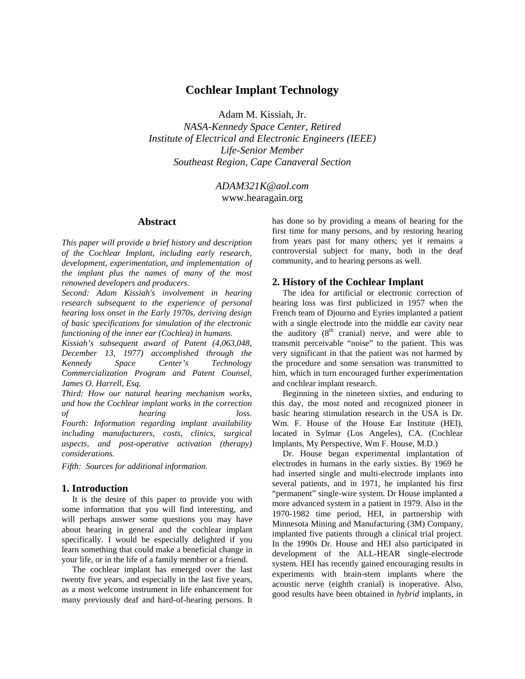# **Cochlear Implant Technology**

Adam M. Kissiah, Jr.

*NASA-Kennedy Space Center, Retired Institute of Electrical and Electronic Engineers (IEEE) Life-Senior Member Southeast Region, Cape Canaveral Section* 

> *ADAM321K@aol.com*  www.hearagain.org

### **Abstract**

*This paper will provide a brief history and description of the Cochlear Implant, including early research, development, experimentation, and implementation of the implant plus the names of many of the most renowned developers and producers.* 

*Second: Adam Kissiah's involvement in hearing research subsequent to the experience of personal hearing loss onset in the Early 1970s, deriving design of basic specifications for simulation of the electronic functioning of the inner ear (Cochlea) in humans.* 

*Kissiah's subsequent award of Patent (4,063,048, December 13, 1977) accomplished through the Kennedy Space Center's Technology Commercialization Program and Patent Counsel, James O. Harrell, Esq.* 

*Third: How our natural hearing mechanism works, and how the Cochlear implant works in the correction of hearing loss. Fourth: Information regarding implant availability including manufacturers, costs, clinics, surgical aspects, and post-operative activation (therapy) considerations.* 

*Fifth: Sources for additional information.* 

#### **1. Introduction**

It is the desire of this paper to provide you with some information that you will find interesting, and will perhaps answer some questions you may have about hearing in general and the cochlear implant specifically. I would be especially delighted if you learn something that could make a beneficial change in your life, or in the life of a family member or a friend.

The cochlear implant has emerged over the last twenty five years, and especially in the last five years, as a most welcome instrument in life enhancement for many previously deaf and hard-of-hearing persons. It has done so by providing a means of hearing for the first time for many persons, and by restoring hearing from years past for many others; yet it remains a controversial subject for many, both in the deaf community, and to hearing persons as well.

#### **2. History of the Cochlear Implant**

The idea for artificial or electronic correction of hearing loss was first publicized in 1957 when the French team of Djourno and Eyries implanted a patient with a single electrode into the middle ear cavity near the auditory  $(8<sup>th</sup>$  cranial) nerve, and were able to transmit perceivable "noise" to the patient. This was very significant in that the patient was not harmed by the procedure and some sensation was transmitted to him, which in turn encouraged further experimentation and cochlear implant research.

Beginning in the nineteen sixties, and enduring to this day, the most noted and recognized pioneer in basic hearing stimulation research in the USA is Dr. Wm. F. House of the House Ear Institute (HEI), located in Sylmar (Los Angeles), CA. (Cochlear Implants, My Perspective, Wm F. House, M.D.)

Dr. House began experimental implantation of electrodes in humans in the early sixties. By 1969 he had inserted single and multi-electrode implants into several patients, and in 1971, he implanted his first "permanent" single-wire system. Dr House implanted a more advanced system in a patient in 1979. Also in the 1970-1982 time period, HEI, in partnership with Minnesota Mining and Manufacturing (3M) Company, implanted five patients through a clinical trial project. In the 1990s Dr. House and HEI also participated in development of the ALL-HEAR single-electrode system. HEI has recently gained encouraging results in experiments with brain-stem implants where the acoustic nerve (eighth cranial) is inoperative. Also, good results have been obtained in *hybrid* implants, in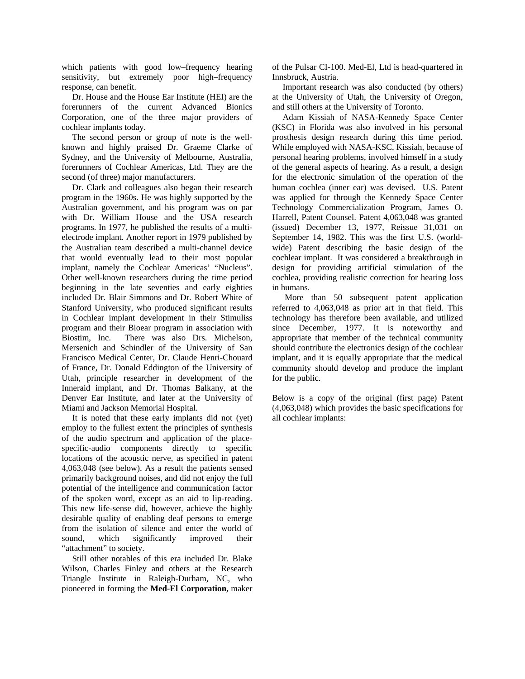which patients with good low–frequency hearing sensitivity, but extremely poor high–frequency response, can benefit.

Dr. House and the House Ear Institute (HEI) are the forerunners of the current Advanced Bionics Corporation, one of the three major providers of cochlear implants today.

The second person or group of note is the wellknown and highly praised Dr. Graeme Clarke of Sydney, and the University of Melbourne, Australia, forerunners of Cochlear Americas, Ltd. They are the second (of three) major manufacturers.

Dr. Clark and colleagues also began their research program in the 1960s. He was highly supported by the Australian government, and his program was on par with Dr. William House and the USA research programs. In 1977, he published the results of a multielectrode implant. Another report in 1979 published by the Australian team described a multi-channel device that would eventually lead to their most popular implant, namely the Cochlear Americas' "Nucleus". Other well-known researchers during the time period beginning in the late seventies and early eighties included Dr. Blair Simmons and Dr. Robert White of Stanford University, who produced significant results in Cochlear implant development in their Stimuliss program and their Bioear program in association with Biostim, Inc. There was also Drs. Michelson, Mersenich and Schindler of the University of San Francisco Medical Center, Dr. Claude Henri-Chouard of France, Dr. Donald Eddington of the University of Utah, principle researcher in development of the Inneraid implant, and Dr. Thomas Balkany, at the Denver Ear Institute, and later at the University of Miami and Jackson Memorial Hospital.

It is noted that these early implants did not (yet) employ to the fullest extent the principles of synthesis of the audio spectrum and application of the placespecific-audio components directly to specific locations of the acoustic nerve, as specified in patent 4,063,048 (see below). As a result the patients sensed primarily background noises, and did not enjoy the full potential of the intelligence and communication factor of the spoken word, except as an aid to lip-reading. This new life-sense did, however, achieve the highly desirable quality of enabling deaf persons to emerge from the isolation of silence and enter the world of sound, which significantly improved their "attachment" to society.

Still other notables of this era included Dr. Blake Wilson, Charles Finley and others at the Research Triangle Institute in Raleigh-Durham, NC, who pioneered in forming the **Med-El Corporation,** maker

of the Pulsar CI-100. Med-El, Ltd is head-quartered in Innsbruck, Austria.

Important research was also conducted (by others) at the University of Utah, the University of Oregon, and still others at the University of Toronto.

Adam Kissiah of NASA-Kennedy Space Center (KSC) in Florida was also involved in his personal prosthesis design research during this time period. While employed with NASA-KSC, Kissiah, because of personal hearing problems, involved himself in a study of the general aspects of hearing. As a result, a design for the electronic simulation of the operation of the human cochlea (inner ear) was devised. U.S. Patent was applied for through the Kennedy Space Center Technology Commercialization Program, James O. Harrell, Patent Counsel. Patent 4,063,048 was granted (issued) December 13, 1977, Reissue 31,031 on September 14, 1982. This was the first U.S. (worldwide) Patent describing the basic design of the cochlear implant. It was considered a breakthrough in design for providing artificial stimulation of the cochlea, providing realistic correction for hearing loss in humans.

 More than 50 subsequent patent application referred to 4,063,048 as prior art in that field. This technology has therefore been available, and utilized since December, 1977. It is noteworthy and appropriate that member of the technical community should contribute the electronics design of the cochlear implant, and it is equally appropriate that the medical community should develop and produce the implant for the public.

Below is a copy of the original (first page) Patent (4,063,048) which provides the basic specifications for all cochlear implants: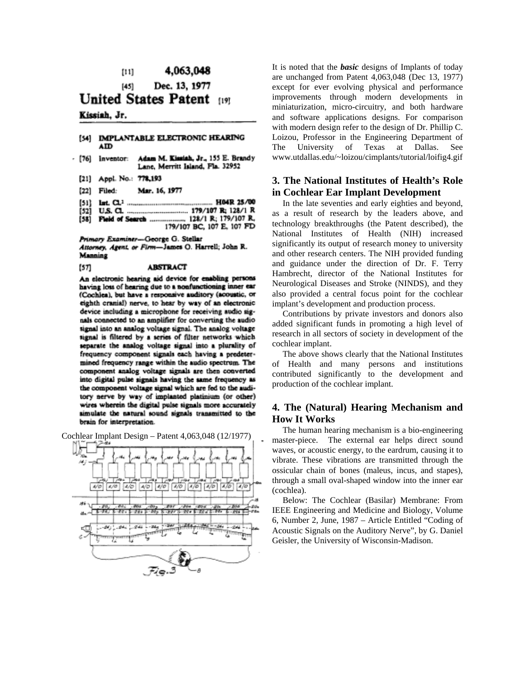#### 4,063,048  $[11]$

Dec. 13, 1977  $[45]$ **United States Patent** 

# $[19]$

# Kissiah, Jr.

[57]

#### [54] IMPLANTABLE ELECTRONIC HEARING ۸ID

- Adam M. Kissiah, Jr., 155 E. Brandy - [76] inventor: Lane, Merritt Island, Fla. 32952
	- [21] Appl. No.: 778,193
	- [22] Filed: Mar. 16, 1977
	- $[51]$
	- [52]
	- [58] 179/107 BC, 107 E, 107 FD

Primary Examiner-George G. Stellar

Attorney, Agent, or Firm-James O. Harrell; John R. Manning

#### **ABSTRACT**

An electronic hearing aid device for enabling persons having loss of hearing due to a nonfunctioning inner ear (Cochlea), but have a responsive auditory (acoustic, or eighth cranial) nerve, to hear by way of an electronic device including a microphone for receiving audio signals connected to an amplifier for converting the audio signal into an analog voltage signal. The analog voltage signal is filtered by a series of filter networks which separate the analog voltage signal into a plurality of frequency component signals each having a predetermined frequency range within the audio spectrum. The component analog voltage signals are then converted into digital pulse signals having the same frequency as the component voltage signal which are fed to the auditory nerve by way of implanted platinium (or other) wires wherein the digital pulse signals more accurately simulate the natural sound signals transmitted to the brain for interpretation.

Cochlear Implant Design – Patent 4,063,048 (12/1977)



It is noted that the *basic* designs of Implants of today are unchanged from Patent 4,063,048 (Dec 13, 1977) except for ever evolving physical and performance improvements through modern developments in miniaturization, micro-circuitry, and both hardware and software applications designs. For comparison with modern design refer to the design of Dr. Phillip C. Loizou, Professor in the Engineering Department of The University of Texas at Dallas. See www.utdallas.edu/~loizou/cimplants/tutorial/loifig4.gif

## **3. The National Institutes of Health's Role in Cochlear Ear Implant Development**

In the late seventies and early eighties and beyond, as a result of research by the leaders above, and technology breakthroughs (the Patent described), the National Institutes of Health (NIH) increased significantly its output of research money to university and other research centers. The NIH provided funding and guidance under the direction of Dr. F. Terry Hambrecht, director of the National Institutes for Neurological Diseases and Stroke (NINDS), and they also provided a central focus point for the cochlear implant's development and production process.

Contributions by private investors and donors also added significant funds in promoting a high level of research in all sectors of society in development of the cochlear implant.

The above shows clearly that the National Institutes of Health and many persons and institutions contributed significantly to the development and production of the cochlear implant.

## **4. The (Natural) Hearing Mechanism and How It Works**

The human hearing mechanism is a bio-engineering master-piece. The external ear helps direct sound waves, or acoustic energy, to the eardrum, causing it to vibrate. These vibrations are transmitted through the ossicular chain of bones (maleus, incus, and stapes), through a small oval-shaped window into the inner ear (cochlea).

Below: The Cochlear (Basilar) Membrane: From IEEE Engineering and Medicine and Biology, Volume 6, Number 2, June, 1987 – Article Entitled "Coding of Acoustic Signals on the Auditory Nerve", by G. Daniel Geisler, the University of Wisconsin-Madison.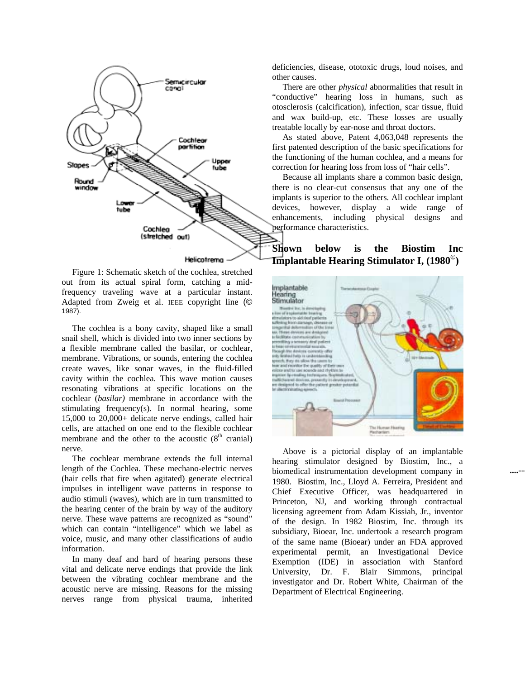

Helicotrema

Figure 1: Schematic sketch of the cochlea, stretched out from its actual spiral form, catching a midfrequency traveling wave at a particular instant. Adapted from Zweig et al. IEEE copyright line (© 1987).

The cochlea is a bony cavity, shaped like a small snail shell, which is divided into two inner sections by a flexible membrane called the basilar, or cochlear, membrane. Vibrations, or sounds, entering the cochlea create waves, like sonar waves, in the fluid-filled cavity within the cochlea. This wave motion causes resonating vibrations at specific locations on the cochlear (*basilar)* membrane in accordance with the stimulating frequency(s). In normal hearing, some 15,000 to 20,000+ delicate nerve endings, called hair cells, are attached on one end to the flexible cochlear membrane and the other to the acoustic  $(8<sup>th</sup>$  cranial) nerve.

The cochlear membrane extends the full internal length of the Cochlea. These mechano-electric nerves (hair cells that fire when agitated) generate electrical impulses in intelligent wave patterns in response to audio stimuli (waves), which are in turn transmitted to the hearing center of the brain by way of the auditory nerve. These wave patterns are recognized as "sound" which can contain "intelligence" which we label as voice, music, and many other classifications of audio information.

In many deaf and hard of hearing persons these vital and delicate nerve endings that provide the link between the vibrating cochlear membrane and the acoustic nerve are missing. Reasons for the missing nerves range from physical trauma, inherited

deficiencies, disease, ototoxic drugs, loud noises, and other causes.

There are other *physical* abnormalities that result in "conductive" hearing loss in humans, such as otosclerosis (calcification), infection, scar tissue, fluid and wax build-up, etc. These losses are usually treatable locally by ear-nose and throat doctors.

As stated above, Patent 4,063,048 represents the first patented description of the basic specifications for the functioning of the human cochlea, and a means for correction for hearing loss from loss of "hair cells".

Because all implants share a common basic design, there is no clear-cut consensus that any one of the implants is superior to the others. All cochlear implant devices, however, display a wide range of enhancements, including physical designs and performance characteristics.

**Shown below is the Biostim Inc Implantable Hearing Stimulator I, (1980©)** 



Above is a pictorial display of an implantable hearing stimulator designed by Biostim, Inc., a biomedical instrumentation development company in 1980. Biostim, Inc., Lloyd A. Ferreira, President and Chief Executive Officer, was headquartered in Princeton, NJ, and working through contractual licensing agreement from Adam Kissiah, Jr., inventor of the design. In 1982 Biostim, Inc. through its subsidiary, Bioear, Inc. undertook a research program of the same name (Bioear) under an FDA approved experimental permit, an Investigational Device Exemption (IDE) in association with Stanford University, Dr. F. Blair Simmons, principal investigator and Dr. Robert White, Chairman of the Department of Electrical Engineering.

**....---**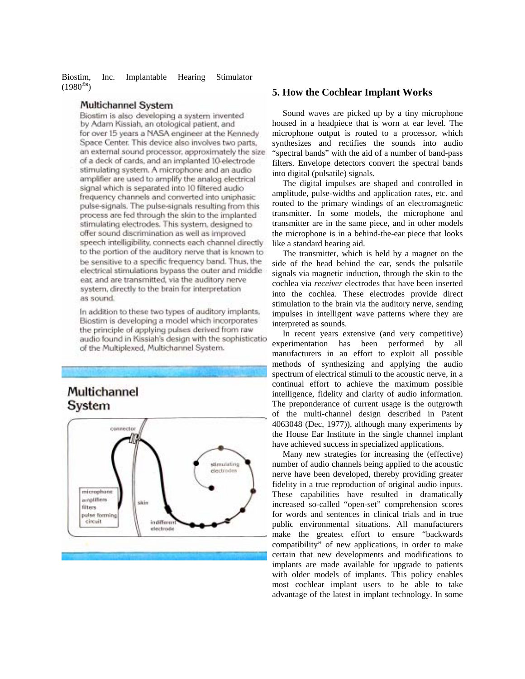Biostim, Inc. Implantable Hearing Stimulator (1980**©s**) **5. How the Cochlear Implant Works** 

#### Multichannel System

Biostim is also developing a system invented by Adam Kissiah, an otological patient, and for over 15 years a NASA engineer at the Kennedy Space Center. This device also involves two parts, an external sound processor, approximately the size of a deck of cards, and an implanted 10-electrode stimulating system. A microphone and an audio amplifier are used to amplify the analog electrical signal which is separated into 10 filtered audio frequency channels and converted into uniphasic pulse-signals. The pulse-signals resulting from this process are fed through the skin to the implanted stimulating electrodes. This system, designed to offer sound discrimination as well as improved speech intelligibility, connects each channel directly to the portion of the auditory nerve that is known to be sensitive to a specific frequency band. Thus, the electrical stimulations bypass the outer and middle ear, and are transmitted, via the auditory nerve system, directly to the brain for interpretation as sound.

In addition to these two types of auditory implants, Biostim is developing a model which incorporates the principle of applying pulses derived from raw audio found in Kissiah's design with the sophisticatio of the Multiplexed, Multichannel System.

# Multichannel System



Sound waves are picked up by a tiny microphone housed in a headpiece that is worn at ear level. The microphone output is routed to a processor, which synthesizes and rectifies the sounds into audio "spectral bands" with the aid of a number of band-pass filters. Envelope detectors convert the spectral bands into digital (pulsatile) signals.

The digital impulses are shaped and controlled in amplitude, pulse-widths and application rates, etc. and routed to the primary windings of an electromagnetic transmitter. In some models, the microphone and transmitter are in the same piece, and in other models the microphone is in a behind-the-ear piece that looks like a standard hearing aid.

The transmitter, which is held by a magnet on the side of the head behind the ear, sends the pulsatile signals via magnetic induction, through the skin to the cochlea via *receiver* electrodes that have been inserted into the cochlea. These electrodes provide direct stimulation to the brain via the auditory nerve, sending impulses in intelligent wave patterns where they are interpreted as sounds.

In recent years extensive (and very competitive) experimentation has been performed by all manufacturers in an effort to exploit all possible methods of synthesizing and applying the audio spectrum of electrical stimuli to the acoustic nerve, in a continual effort to achieve the maximum possible intelligence, fidelity and clarity of audio information. The preponderance of current usage is the outgrowth of the multi-channel design described in Patent 4063048 (Dec, 1977)), although many experiments by the House Ear Institute in the single channel implant have achieved success in specialized applications.

Many new strategies for increasing the (effective) number of audio channels being applied to the acoustic nerve have been developed, thereby providing greater fidelity in a true reproduction of original audio inputs. These capabilities have resulted in dramatically increased so-called "open-set" comprehension scores for words and sentences in clinical trials and in true public environmental situations. All manufacturers make the greatest effort to ensure "backwards compatibility" of new applications, in order to make certain that new developments and modifications to implants are made available for upgrade to patients with older models of implants. This policy enables most cochlear implant users to be able to take advantage of the latest in implant technology. In some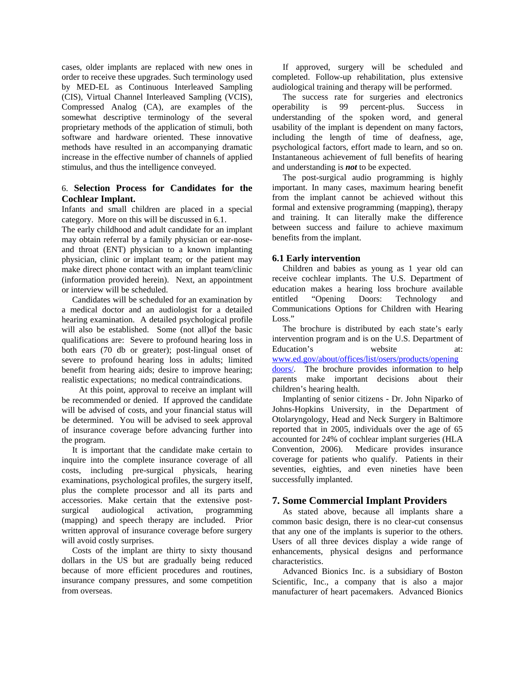cases, older implants are replaced with new ones in order to receive these upgrades. Such terminology used by MED-EL as Continuous Interleaved Sampling (CIS), Virtual Channel Interleaved Sampling (VCIS), Compressed Analog (CA), are examples of the somewhat descriptive terminology of the several proprietary methods of the application of stimuli, both software and hardware oriented. These innovative methods have resulted in an accompanying dramatic increase in the effective number of channels of applied stimulus, and thus the intelligence conveyed.

### 6. **Selection Process for Candidates for the Cochlear Implant.**

Infants and small children are placed in a special category. More on this will be discussed in 6.1.

The early childhood and adult candidate for an implant may obtain referral by a family physician or ear-noseand throat (ENT) physician to a known implanting physician, clinic or implant team; or the patient may make direct phone contact with an implant team/clinic (information provided herein). Next, an appointment or interview will be scheduled.

Candidates will be scheduled for an examination by a medical doctor and an audiologist for a detailed hearing examination. A detailed psychological profile will also be established. Some (not all)of the basic qualifications are: Severe to profound hearing loss in both ears (70 db or greater); post-lingual onset of severe to profound hearing loss in adults; limited benefit from hearing aids; desire to improve hearing; realistic expectations; no medical contraindications.

 At this point, approval to receive an implant will be recommended or denied. If approved the candidate will be advised of costs, and your financial status will be determined. You will be advised to seek approval of insurance coverage before advancing further into the program.

It is important that the candidate make certain to inquire into the complete insurance coverage of all costs, including pre-surgical physicals, hearing examinations, psychological profiles, the surgery itself, plus the complete processor and all its parts and accessories. Make certain that the extensive postsurgical audiological activation, programming (mapping) and speech therapy are included. Prior written approval of insurance coverage before surgery will avoid costly surprises.

Costs of the implant are thirty to sixty thousand dollars in the US but are gradually being reduced because of more efficient procedures and routines, insurance company pressures, and some competition from overseas.

If approved, surgery will be scheduled and completed. Follow-up rehabilitation, plus extensive audiological training and therapy will be performed.

The success rate for surgeries and electronics operability is 99 percent-plus. Success in understanding of the spoken word, and general usability of the implant is dependent on many factors, including the length of time of deafness, age, psychological factors, effort made to learn, and so on. Instantaneous achievement of full benefits of hearing and understanding is *not* to be expected.

The post-surgical audio programming is highly important. In many cases, maximum hearing benefit from the implant cannot be achieved without this formal and extensive programming (mapping), therapy and training. It can literally make the difference between success and failure to achieve maximum benefits from the implant.

#### **6.1 Early intervention**

Children and babies as young as 1 year old can receive cochlear implants. The U.S. Department of education makes a hearing loss brochure available entitled "Opening Doors: Technology and Communications Options for Children with Hearing Loss."

The brochure is distributed by each state's early intervention program and is on the U.S. Department of Education's website at: www.ed.gov/about/offices/list/osers/products/opening doors/. The brochure provides information to help parents make important decisions about their children's hearing health.

Implanting of senior citizens - Dr. John Niparko of Johns-Hopkins University, in the Department of Otolaryngology, Head and Neck Surgery in Baltimore reported that in 2005, individuals over the age of 65 accounted for 24% of cochlear implant surgeries (HLA Convention, 2006). Medicare provides insurance coverage for patients who qualify. Patients in their seventies, eighties, and even nineties have been successfully implanted.

#### **7. Some Commercial Implant Providers**

As stated above, because all implants share a common basic design, there is no clear-cut consensus that any one of the implants is superior to the others. Users of all three devices display a wide range of enhancements, physical designs and performance characteristics.

Advanced Bionics Inc. is a subsidiary of Boston Scientific, Inc., a company that is also a major manufacturer of heart pacemakers. Advanced Bionics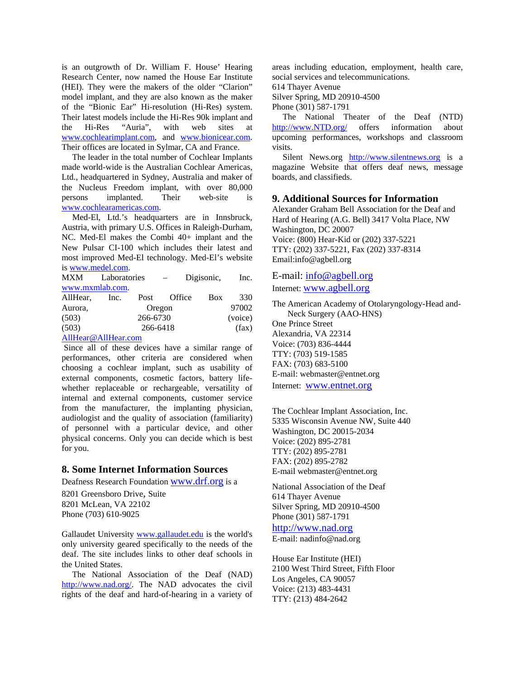is an outgrowth of Dr. William F. House' Hearing Research Center, now named the House Ear Institute (HEI). They were the makers of the older "Clarion" model implant, and they are also known as the maker of the "Bionic Ear" Hi-resolution (Hi-Res) system. Their latest models include the Hi-Res 90k implant and the Hi-Res "Auria", with web sites at www.cochlearimplant.com, and www.bionicear.com. Their offices are located in Sylmar, CA and France.

The leader in the total number of Cochlear Implants made world-wide is the Australian Cochlear Americas, Ltd., headquartered in Sydney, Australia and maker of the Nucleus Freedom implant, with over 80,000 persons implanted. Their web-site is www.cochlearamericas.com.

Med-El, Ltd.'s headquarters are in Innsbruck, Austria, with primary U.S. Offices in Raleigh-Durham, NC. Med-El makes the Combi 40+ implant and the New Pulsar CI-100 which includes their latest and most improved Med-El technology. Med-El's website is www.medel.com.

| <b>MXM</b>      | Laboratories |      |        | Digisonic, |            | Inc.    |
|-----------------|--------------|------|--------|------------|------------|---------|
| www.mxmlab.com. |              |      |        |            |            |         |
| AllHear,        | Inc.         | Post | Office |            | <b>Box</b> | 330     |
| Aurora,         | Oregon       |      |        |            |            | 97002   |
| (503)           | 266-6730     |      |        |            |            | (voice) |
| (503)           | 266-6418     |      |        |            |            | (fax)   |
|                 |              |      |        |            |            |         |

AllHear@AllHear.com

 Since all of these devices have a similar range of performances, other criteria are considered when choosing a cochlear implant, such as usability of external components, cosmetic factors, battery lifewhether replaceable or rechargeable, versatility of internal and external components, customer service from the manufacturer, the implanting physician, audiologist and the quality of association (familiarity) of personnel with a particular device, and other physical concerns. Only you can decide which is best for you.

# **8. Some Internet Information Sources**

Deafness Research Foundation www.drf.org is a 8201 Greensboro Drive, Suite 8201 McLean, VA 22102 Phone (703) 610-9025

Gallaudet University www.gallaudet.edu is the world's only university geared specifically to the needs of the deaf. The site includes links to other deaf schools in the United States.

The National Association of the Deaf (NAD) http://www.nad.org/. The NAD advocates the civil rights of the deaf and hard-of-hearing in a variety of areas including education, employment, health care, social services and telecommunications.

614 Thayer Avenue

Silver Spring, MD 20910-4500

Phone (301) 587-1791

The National Theater of the Deaf (NTD) http://www.NTD.org/ offers information about upcoming performances, workshops and classroom visits.

Silent News.org http://www.silentnews.org is a magazine Website that offers deaf news, message boards, and classifieds.

# **9. Additional Sources for Information**

Alexander Graham Bell Association for the Deaf and Hard of Hearing (A.G. Bell) 3417 Volta Place, NW Washington, DC 20007 Voice: (800) Hear-Kid or (202) 337-5221 TTY: (202) 337-5221, Fax (202) 337-8314 Email:info@agbell.org

E-mail: info@agbell.org Internet: www.agbell.org

The American Academy of Otolaryngology-Head and-Neck Surgery (AAO-HNS) One Prince Street Alexandria, VA 22314 Voice: (703) 836-4444 TTY: (703) 519-1585 FAX: (703) 683-5100 E-mail: webmaster@entnet.org Internet: www.entnet.org

The Cochlear Implant Association, Inc. 5335 Wisconsin Avenue NW, Suite 440 Washington, DC 20015-2034 Voice: (202) 895-2781 TTY: (202) 895-2781 FAX: (202) 895-2782 E-mail webmaster@entnet.org

National Association of the Deaf 614 Thayer Avenue Silver Spring, MD 20910-4500 Phone (301) 587-1791

http://www.nad.org

E-mail: nadinfo@nad.org

House Ear Institute (HEI) 2100 West Third Street, Fifth Floor Los Angeles, CA 90057 Voice: (213) 483-4431 TTY: (213) 484-2642